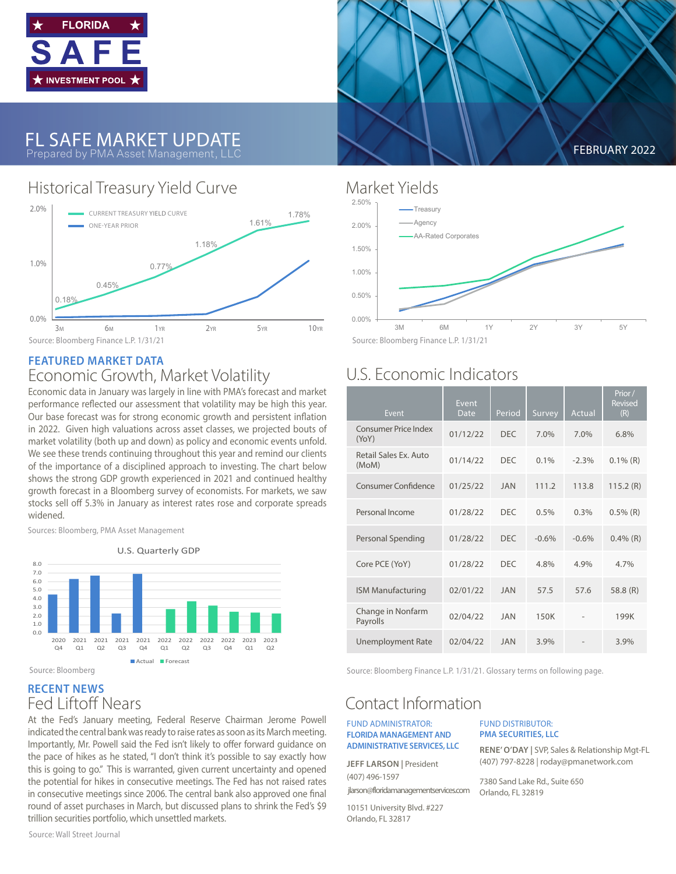



### Historical Treasury Yield Curve Market Yields



#### **FEATURED MARKET DATA** Economic Growth, Market Volatility

Economic data in January was largely in line with PMA's forecast and market performance reflected our assessment that volatility may be high this year. Our base forecast was for strong economic growth and persistent inflation in 2022. Given high valuations across asset classes, we projected bouts of market volatility (both up and down) as policy and economic events unfold. We see these trends continuing throughout this year and remind our clients of the importance of a disciplined approach to investing. The chart below shows the strong GDP growth experienced in 2021 and continued healthy growth forecast in a Bloomberg survey of economists. For markets, we saw stocks sell off 5.3% in January as interest rates rose and corporate spreads widened.

Sources: Bloomberg, PMA Asset Management



#### **RECENT NEWS** Fed Liftoff Nears

At the Fed's January meeting, Federal Reserve Chairman Jerome Powell indicated the central bank was ready to raise rates as soon as its March meeting. Importantly, Mr. Powell said the Fed isn't likely to offer forward guidance on the pace of hikes as he stated, "I don't think it's possible to say exactly how this is going to go." This is warranted, given current uncertainty and opened the potential for hikes in consecutive meetings. The Fed has not raised rates in consecutive meetings since 2006. The central bank also approved one final round of asset purchases in March, but discussed plans to shrink the Fed's \$9 trillion securities portfolio, which unsettled markets.

Source: Wall Street Journal

FEBRUARY 2022



Source: Bloomberg Finance L.P. 1/31/21

## U.S. Economic Indicators

| Event                                | Event<br>Date | Period     | Survey  | Actual  | Prior/<br>Revised<br>(R) |
|--------------------------------------|---------------|------------|---------|---------|--------------------------|
| <b>Consumer Price Index</b><br>(YoY) | 01/12/22      | <b>DFC</b> | 7.0%    | 7.0%    | 6.8%                     |
| Retail Sales Ex. Auto<br>(MoM)       | 01/14/22      | <b>DFC</b> | 0.1%    | $-2.3%$ | $0.1\%$ (R)              |
| <b>Consumer Confidence</b>           | 01/25/22      | <b>JAN</b> | 111.2   | 113.8   | 115.2(R)                 |
| Personal Income                      | 01/28/22      | <b>DEC</b> | 0.5%    | 0.3%    | $0.5\%$ (R)              |
| Personal Spending                    | 01/28/22      | <b>DEC</b> | $-0.6%$ | $-0.6%$ | $0.4\%$ (R)              |
| Core PCE (YoY)                       | 01/28/22      | <b>DFC</b> | 4.8%    | 4.9%    | 4.7%                     |
| <b>ISM Manufacturing</b>             | 02/01/22      | <b>JAN</b> | 57.5    | 57.6    | 58.8 $(R)$               |
| Change in Nonfarm<br>Payrolls        | 02/04/22      | <b>JAN</b> | 150K    |         | 199K                     |
| <b>Unemployment Rate</b>             | 02/04/22      | <b>JAN</b> | 3.9%    |         | 3.9%                     |

Source: Bloomberg Finance L.P. 1/31/21. Glossary terms on following page.

## Contact Information

#### FUND ADMINISTRATOR: **FLORIDA MANAGEMENT AND ADMINISTRATIVE SERVICES, LLC**

**JEFF LARSON | President** (407) 496-1597 jlarson@floridamanagementservices.com

10151 University Blvd. #227 Orlando, FL 32817

FUND DISTRIBUTOR: **PMA SECURITIES, LLC**

**RENE' O'DAY |** SVP, Sales & Relationship Mgt-FL (407) 797-8228 | roday@pmanetwork.com

7380 Sand Lake Rd., Suite 650 Orlando, FL 32819